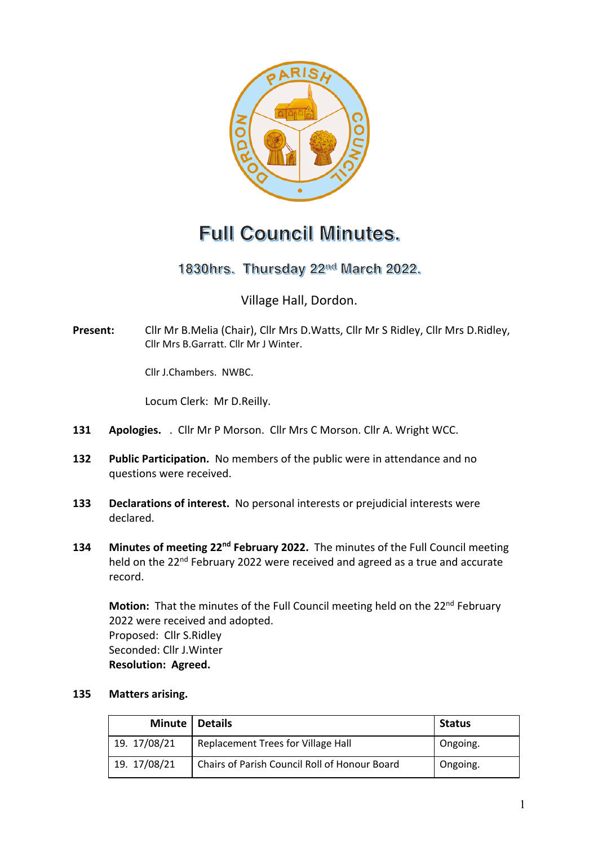

# **Full Council Minutes.**

1830hrs. Thursday 22<sup>nd</sup> March 2022.

Village Hall, Dordon.

**Present:** Cllr Mr B.Melia (Chair), Cllr Mrs D.Watts, Cllr Mr S Ridley, Cllr Mrs D.Ridley, Cllr Mrs B.Garratt. Cllr Mr J Winter.

Cllr J.Chambers. NWBC.

Locum Clerk: Mr D.Reilly.

- **131 Apologies.** . Cllr Mr P Morson. Cllr Mrs C Morson. Cllr A. Wright WCC.
- **132 Public Participation.** No members of the public were in attendance and no questions were received.
- **133 Declarations of interest.** No personal interests or prejudicial interests were declared.
- **134 Minutes of meeting 22nd February 2022.** The minutes of the Full Council meeting held on the 22<sup>nd</sup> February 2022 were received and agreed as a true and accurate record.

**Motion:** That the minutes of the Full Council meeting held on the 22<sup>nd</sup> February 2022 were received and adopted. Proposed: Cllr S.Ridley Seconded: Cllr J.Winter **Resolution: Agreed.**

#### **135 Matters arising.**

| Minute   Details |                                               | <b>Status</b> |
|------------------|-----------------------------------------------|---------------|
| 19. 17/08/21     | Replacement Trees for Village Hall            | Ongoing.      |
| 19. 17/08/21     | Chairs of Parish Council Roll of Honour Board | Ongoing.      |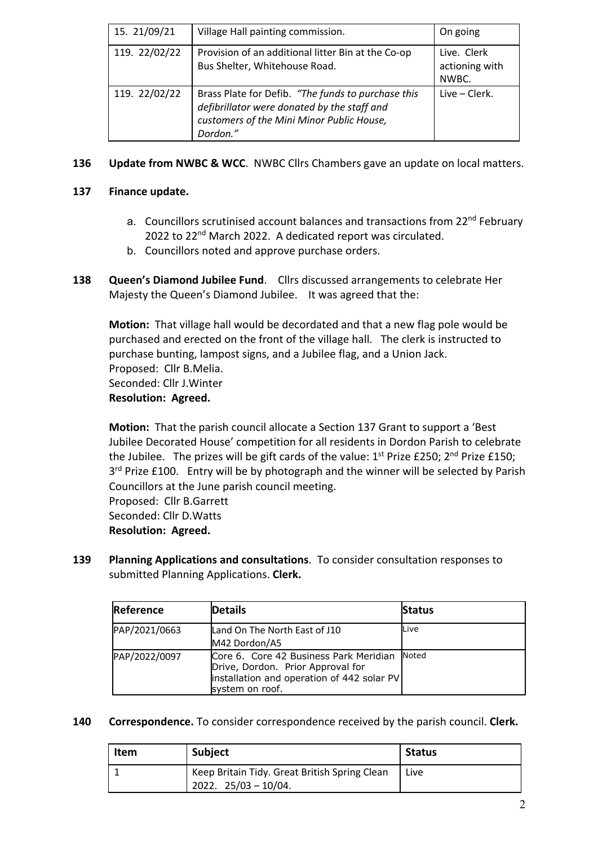| 15. 21/09/21  | Village Hall painting commission.                                                                                                                          | On going                               |
|---------------|------------------------------------------------------------------------------------------------------------------------------------------------------------|----------------------------------------|
| 119. 22/02/22 | Provision of an additional litter Bin at the Co-op<br>Bus Shelter, Whitehouse Road.                                                                        | Live. Clerk<br>actioning with<br>NWBC. |
| 119. 22/02/22 | Brass Plate for Defib. "The funds to purchase this<br>defibrillator were donated by the staff and<br>customers of the Mini Minor Public House,<br>Dordon." | Live – Clerk.                          |

## **136 Update from NWBC & WCC**. NWBC Cllrs Chambers gave an update on local matters.

### **137 Finance update.**

- a. Councillors scrutinised account balances and transactions from 22<sup>nd</sup> February 2022 to 22<sup>nd</sup> March 2022. A dedicated report was circulated.
- b. Councillors noted and approve purchase orders.
- **138 Queen's Diamond Jubilee Fund**. Cllrs discussed arrangements to celebrate Her Majesty the Queen's Diamond Jubilee.It was agreed that the:

**Motion:** That village hall would be decordated and that a new flag pole would be purchased and erected on the front of the village hall. The clerk is instructed to purchase bunting, lampost signs, and a Jubilee flag, and a Union Jack. Proposed: Cllr B.Melia. Seconded: Cllr J.Winter **Resolution: Agreed.**

**Motion:** That the parish council allocate a Section 137 Grant to support a 'Best Jubilee Decorated House' competition for all residents in Dordon Parish to celebrate the Jubilee. The prizes will be gift cards of the value:  $1<sup>st</sup>$  Prize £250;  $2<sup>nd</sup>$  Prize £150;  $3<sup>rd</sup>$  Prize £100. Entry will be by photograph and the winner will be selected by Parish Councillors at the June parish council meeting.

Proposed: Cllr B.Garrett Seconded: Cllr D.Watts **Resolution: Agreed.**

**139 Planning Applications and consultations**. To consider consultation responses to submitted Planning Applications. **Clerk.**

| Reference     | <b>Details</b>                                                                                                                               | <b>Status</b> |
|---------------|----------------------------------------------------------------------------------------------------------------------------------------------|---------------|
| PAP/2021/0663 | Land On The North East of J10<br>M42 Dordon/A5                                                                                               | Live          |
| PAP/2022/0097 | Core 6. Core 42 Business Park Meridian<br>Drive, Dordon. Prior Approval for<br>installation and operation of 442 solar PV<br>system on roof. | Noted         |

**140 Correspondence.** To consider correspondence received by the parish council. **Clerk.**

| <b>Item</b> | <b>Subject</b>                                                            | <b>Status</b> |
|-------------|---------------------------------------------------------------------------|---------------|
|             | Keep Britain Tidy. Great British Spring Clean<br>$2022.$ $25/03 - 10/04.$ | Live          |